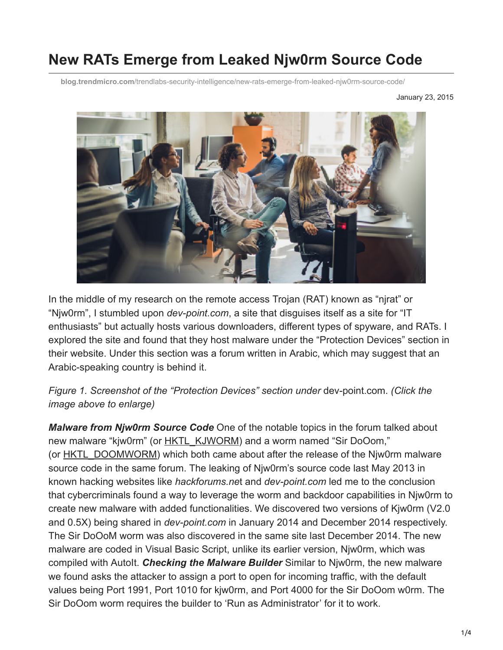# **New RATs Emerge from Leaked Njw0rm Source Code**

**blog.trendmicro.com**[/trendlabs-security-intelligence/new-rats-emerge-from-leaked-njw0rm-source-code/](http://blog.trendmicro.com/trendlabs-security-intelligence/new-rats-emerge-from-leaked-njw0rm-source-code/)

January 23, 2015



In the middle of my research on the remote access Trojan (RAT) known as "njrat" or "Njw0rm", I stumbled upon *dev-point.com*, a site that disguises itself as a site for "IT enthusiasts" but actually hosts various downloaders, different types of spyware, and RATs. I explored the site and found that they host malware under the "Protection Devices" section in their website. Under this section was a forum written in Arabic, which may suggest that an Arabic-speaking country is behind it.

*Figure 1. Screenshot of the "Protection Devices" section under* dev-point.com. *(Click the image above to enlarge)*

*Malware from Njw0rm Source Code* One of the notable topics in the forum talked about new malware "kjw0rm" (or [HKTL\\_KJWORM](http://www.trendmicro.com/vinfo/us/threat-encyclopedia/malware/HKTL_KJWORM/)) and a worm named "Sir DoOom," (or [HKTL\\_DOOMWORM\)](http://www.trendmicro.com/vinfo/us/threat-encyclopedia/malware/HKTL_DOOMWORM) which both came about after the release of the Njw0rm malware source code in the same forum. The leaking of Njw0rm's source code last May 2013 in known hacking websites like *hackforums.ne*t and *dev-point.com* led me to the conclusion that cybercriminals found a way to leverage the worm and backdoor capabilities in Njw0rm to create new malware with added functionalities. We discovered two versions of Kjw0rm (V2.0 and 0.5X) being shared in *dev-point.com* in January 2014 and December 2014 respectively. The Sir DoOoM worm was also discovered in the same site last December 2014. The new malware are coded in Visual Basic Script, unlike its earlier version, Njw0rm, which was compiled with AutoIt. *Checking the Malware Builder* Similar to Njw0rm, the new malware we found asks the attacker to assign a port to open for incoming traffic, with the default values being Port 1991, Port 1010 for kjw0rm, and Port 4000 for the Sir DoOom w0rm. The Sir DoOom worm requires the builder to 'Run as Administrator' for it to work.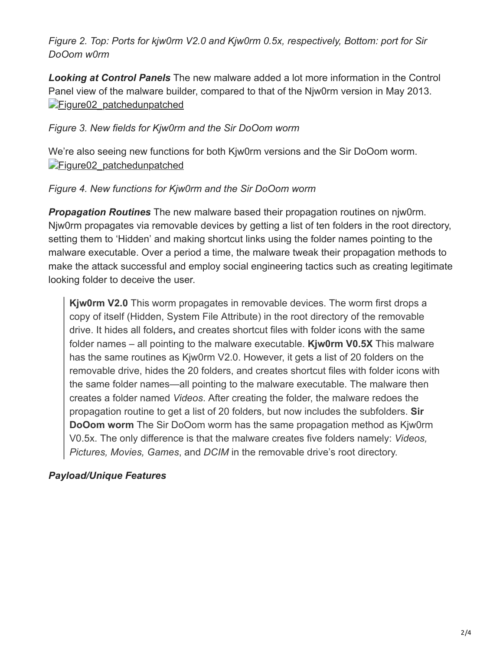*Figure 2. Top: Ports for kjw0rm V2.0 and Kjw0rm 0.5x, respectively, Bottom: port for Sir DoOom w0rm*

*Looking at Control Panels* The new malware added a lot more information in the Control Panel view of the malware builder, compared to that of the Njw0rm version in May 2013. Figure02 patchedunpatched

#### *Figure 3. New fields for Kjw0rm and the Sir DoOom worm*

We're also seeing new functions for both Kjw0rm versions and the Sir DoOom worm. [Figure02\\_patchedunpatched](http://blog.trendmicro.com/content/dam/trendmicro/global/en/migrated/security-intelligence-migration-spreadsheet/trendlabs-security-intelligence/2015/01/KJw0rm_fig4-2.png)

#### *Figure 4. New functions for Kjw0rm and the Sir DoOom worm*

*Propagation Routines* The new malware based their propagation routines on njw0rm. Njw0rm propagates via removable devices by getting a list of ten folders in the root directory, setting them to 'Hidden' and making shortcut links using the folder names pointing to the malware executable. Over a period a time, the malware tweak their propagation methods to make the attack successful and employ social engineering tactics such as creating legitimate looking folder to deceive the user.

**Kjw0rm V2.0** This worm propagates in removable devices. The worm first drops a copy of itself (Hidden, System File Attribute) in the root directory of the removable drive. It hides all folders**,** and creates shortcut files with folder icons with the same folder names – all pointing to the malware executable. **Kjw0rm V0.5X** This malware has the same routines as Kjw0rm V2.0. However, it gets a list of 20 folders on the removable drive, hides the 20 folders, and creates shortcut files with folder icons with the same folder names—all pointing to the malware executable. The malware then creates a folder named *Videos*. After creating the folder, the malware redoes the propagation routine to get a list of 20 folders, but now includes the subfolders. **Sir DoOom worm** The Sir DoOom worm has the same propagation method as Kjw0rm V0.5x. The only difference is that the malware creates five folders namely: *Videos, Pictures, Movies, Games*, and *DCIM* in the removable drive's root directory.

### *Payload/Unique Features*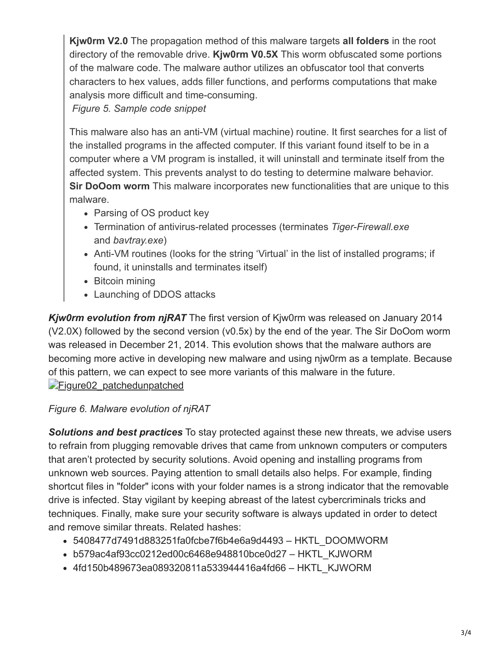**Kjw0rm V2.0** The propagation method of this malware targets **all folders** in the root directory of the removable drive. **Kjw0rm V0.5X** This worm obfuscated some portions of the malware code. The malware author utilizes an obfuscator tool that converts characters to hex values, adds filler functions, and performs computations that make analysis more difficult and time-consuming.

*Figure 5. Sample code snippet*

This malware also has an anti-VM (virtual machine) routine. It first searches for a list of the installed programs in the affected computer. If this variant found itself to be in a computer where a VM program is installed, it will uninstall and terminate itself from the affected system. This prevents analyst to do testing to determine malware behavior. **Sir DoOom worm** This malware incorporates new functionalities that are unique to this malware.

- Parsing of OS product key
- Termination of antivirus-related processes (terminates *Tiger-Firewall.exe* and *bavtray.exe*)
- Anti-VM routines (looks for the string 'Virtual' in the list of installed programs; if found, it uninstalls and terminates itself)
- Bitcoin mining
- Launching of DDOS attacks

*Kjw0rm evolution from njRAT* The first version of Kjw0rm was released on January 2014 (V2.0X) followed by the second version (v0.5x) by the end of the year. The Sir DoOom worm was released in December 21, 2014. This evolution shows that the malware authors are becoming more active in developing new malware and using njw0rm as a template. Because of this pattern, we can expect to see more variants of this malware in the future. Figure02 patchedunpatched

## *Figure 6. Malware evolution of njRAT*

*Solutions and best practices* To stay protected against these new threats, we advise users to refrain from plugging removable drives that came from unknown computers or computers that aren't protected by security solutions. Avoid opening and installing programs from unknown web sources. Paying attention to small details also helps. For example, finding shortcut files in "folder" icons with your folder names is a strong indicator that the removable drive is infected. Stay vigilant by keeping abreast of the latest cybercriminals tricks and techniques. Finally, make sure your security software is always updated in order to detect and remove similar threats. Related hashes:

- 5408477d7491d883251fa0fcbe7f6b4e6a9d4493 HKTL\_DOOMWORM
- b579ac4af93cc0212ed00c6468e948810bce0d27 HKTL\_KJWORM
- 4fd150b489673ea089320811a533944416a4fd66 HKTL\_KJWORM